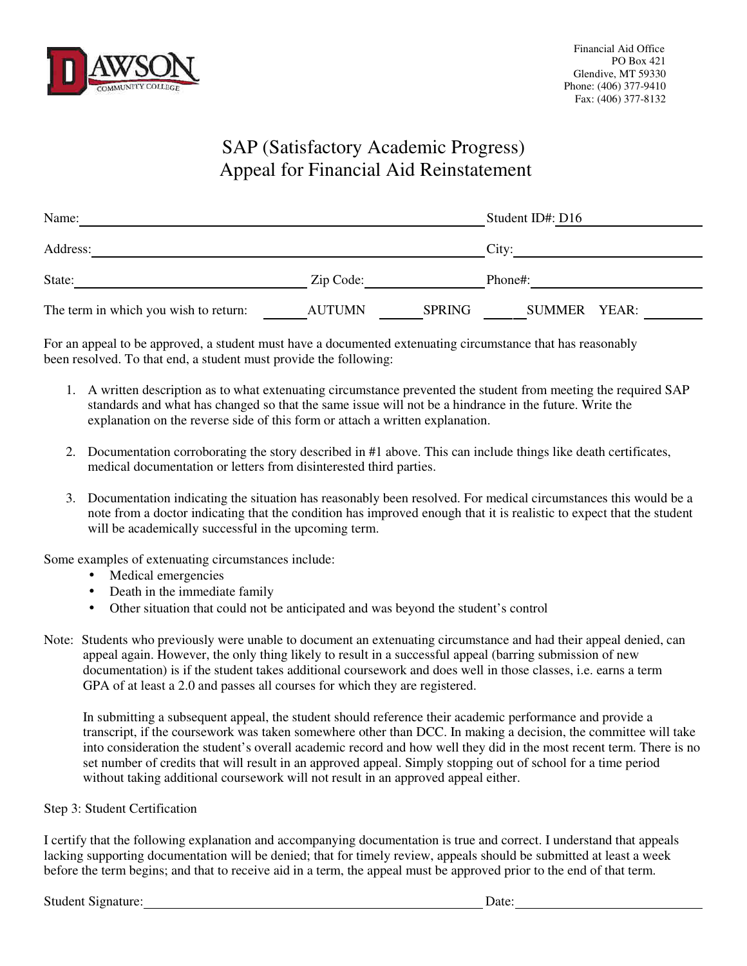

## SAP (Satisfactory Academic Progress) Appeal for Financial Aid Reinstatement

| Name:                                 |               |               | Student ID#: D16 |  |
|---------------------------------------|---------------|---------------|------------------|--|
| Address:                              |               |               | City:            |  |
| State:                                | Zip Code:     |               | Phone#:          |  |
| The term in which you wish to return: | <b>AUTUMN</b> | <b>SPRING</b> | SUMMER YEAR:     |  |

For an appeal to be approved, a student must have a documented extenuating circumstance that has reasonably been resolved. To that end, a student must provide the following:

- 1. A written description as to what extenuating circumstance prevented the student from meeting the required SAP standards and what has changed so that the same issue will not be a hindrance in the future. Write the explanation on the reverse side of this form or attach a written explanation.
- 2. Documentation corroborating the story described in #1 above. This can include things like death certificates, medical documentation or letters from disinterested third parties.
- 3. Documentation indicating the situation has reasonably been resolved. For medical circumstances this would be a note from a doctor indicating that the condition has improved enough that it is realistic to expect that the student will be academically successful in the upcoming term.

Some examples of extenuating circumstances include:

- Medical emergencies
- Death in the immediate family
- Other situation that could not be anticipated and was beyond the student's control
- Note: Students who previously were unable to document an extenuating circumstance and had their appeal denied, can appeal again. However, the only thing likely to result in a successful appeal (barring submission of new documentation) is if the student takes additional coursework and does well in those classes, i.e. earns a term GPA of at least a 2.0 and passes all courses for which they are registered.

In submitting a subsequent appeal, the student should reference their academic performance and provide a transcript, if the coursework was taken somewhere other than DCC. In making a decision, the committee will take into consideration the student's overall academic record and how well they did in the most recent term. There is no set number of credits that will result in an approved appeal. Simply stopping out of school for a time period without taking additional coursework will not result in an approved appeal either.

## Step 3: Student Certification

I certify that the following explanation and accompanying documentation is true and correct. I understand that appeals lacking supporting documentation will be denied; that for timely review, appeals should be submitted at least a week before the term begins; and that to receive aid in a term, the appeal must be approved prior to the end of that term.